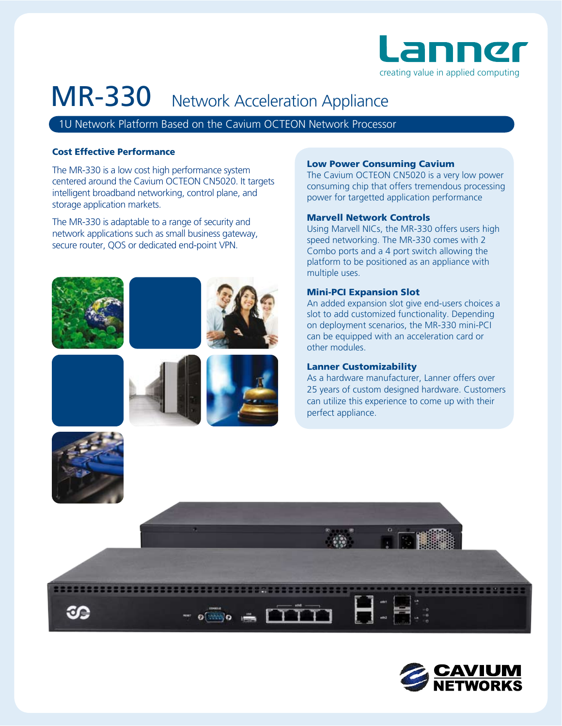

# MR-330 Network Acceleration Appliance

1U Network Platform Based on the Cavium OCTEON Network Processor

# Cost Effective Performance

The MR-330 is a low cost high performance system centered around the Cavium OCTEON CN5020. It targets intelligent broadband networking, control plane, and storage application markets.

The MR-330 is adaptable to a range of security and network applications such as small business gateway, secure router, QOS or dedicated end-point VPN.











 $\circ$   $\cdots$   $\circ$   $\cdots$   $\circ$   $\cdots$   $\circ$ 

### Low Power Consuming Cavium

The Cavium OCTEON CN5020 is a very low power consuming chip that offers tremendous processing power for targetted application performance

## Marvell Network Controls

Using Marvell NICs, the MR-330 offers users high speed networking. The MR-330 comes with 2 Combo ports and a 4 port switch allowing the platform to be positioned as an appliance with multiple uses.

## Mini-PCI Expansion Slot

An added expansion slot give end-users choices a slot to add customized functionality. Depending on deployment scenarios, the MR-330 mini-PCI can be equipped with an acceleration card or other modules.

### Lanner Customizability

As a hardware manufacturer, Lanner offers over 25 years of custom designed hardware. Customers can utilize this experience to come up with their perfect appliance.



œ